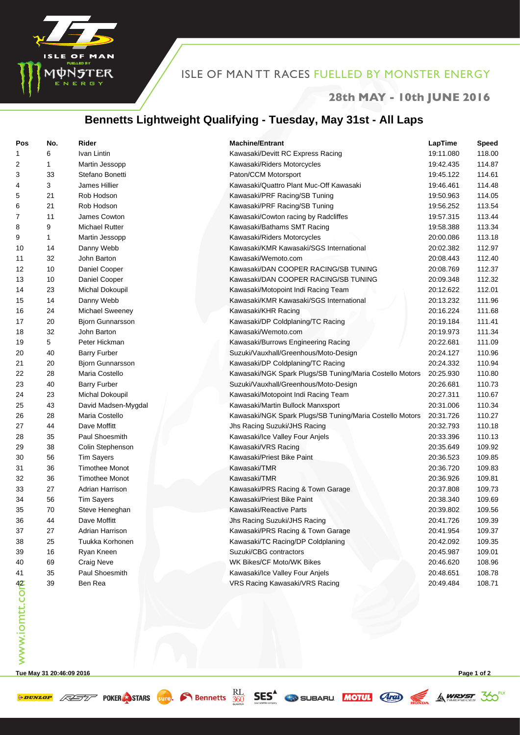

## ISLE OF MAN TT RACES FUELLED BY MONSTER ENERGY

#### **28th MAY - 10th JUNE 2016**

## **Bennetts Lightweight Qualifying - Tuesday, May 31st - All Laps**

| Pos           | No.          | Rider                   | <b>Machine/Entrant</b>                                   | LapTime   | Speed  |
|---------------|--------------|-------------------------|----------------------------------------------------------|-----------|--------|
| 1             | 6            | Ivan Lintin             | Kawasaki/Devitt RC Express Racing                        | 19:11.080 | 118.00 |
| 2             | $\mathbf{1}$ | Martin Jessopp          | Kawasaki/Riders Motorcycles                              | 19:42.435 | 114.87 |
| 3             | 33           | Stefano Bonetti         | Paton/CCM Motorsport                                     | 19:45.122 | 114.61 |
| 4             | 3            | James Hillier           | Kawasaki/Quattro Plant Muc-Off Kawasaki                  | 19:46.461 | 114.48 |
| 5             | 21           | Rob Hodson              | Kawasaki/PRF Racing/SB Tuning                            | 19:50.963 | 114.05 |
| 6             | 21           | Rob Hodson              | Kawasaki/PRF Racing/SB Tuning                            | 19:56.252 | 113.54 |
| 7             | 11           | James Cowton            | Kawasaki/Cowton racing by Radcliffes                     | 19:57.315 | 113.44 |
| 8             | 9            | Michael Rutter          | Kawasaki/Bathams SMT Racing                              | 19:58.388 | 113.34 |
| 9             | $\mathbf{1}$ | Martin Jessopp          | Kawasaki/Riders Motorcycles                              | 20:00.086 | 113.18 |
| 10            | 14           | Danny Webb              | Kawasaki/KMR Kawasaki/SGS International                  | 20:02.382 | 112.97 |
| 11            | 32           | John Barton             | Kawasaki/Wemoto.com                                      | 20:08.443 | 112.40 |
| 12            | 10           | Daniel Cooper           | Kawasaki/DAN COOPER RACING/SB TUNING                     | 20:08.769 | 112.37 |
| 13            | 10           | Daniel Cooper           | Kawasaki/DAN COOPER RACING/SB TUNING                     | 20:09.348 | 112.32 |
| 14            | 23           | Michal Dokoupil         | Kawasaki/Motopoint Indi Racing Team                      | 20:12.622 | 112.01 |
| 15            | 14           | Danny Webb              | Kawasaki/KMR Kawasaki/SGS International                  | 20:13.232 | 111.96 |
| 16            | 24           | Michael Sweeney         | Kawasaki/KHR Racing                                      | 20:16.224 | 111.68 |
| 17            | 20           | <b>Bjorn Gunnarsson</b> | Kawasaki/DP Coldplaning/TC Racing                        | 20:19.184 | 111.41 |
| 18            | 32           | John Barton             | Kawasaki/Wemoto.com                                      | 20:19.973 | 111.34 |
| 19            | 5            | Peter Hickman           | Kawasaki/Burrows Engineering Racing                      | 20:22.681 | 111.09 |
| 20            | 40           | <b>Barry Furber</b>     | Suzuki/Vauxhall/Greenhous/Moto-Design                    | 20:24.127 | 110.96 |
| 21            | 20           | <b>Bjorn Gunnarsson</b> | Kawasaki/DP Coldplaning/TC Racing                        | 20:24.332 | 110.94 |
| 22            | 28           | Maria Costello          | Kawasaki/NGK Spark Plugs/SB Tuning/Maria Costello Motors | 20:25.930 | 110.80 |
| 23            | 40           | <b>Barry Furber</b>     | Suzuki/Vauxhall/Greenhous/Moto-Design                    | 20:26.681 | 110.73 |
| 24            | 23           | Michal Dokoupil         | Kawasaki/Motopoint Indi Racing Team                      | 20:27.311 | 110.67 |
| 25            | 43           | David Madsen-Mygdal     | Kawasaki/Martin Bullock Manxsport                        | 20:31.006 | 110.34 |
| 26            | 28           | Maria Costello          | Kawasaki/NGK Spark Plugs/SB Tuning/Maria Costello Motors | 20:31.726 | 110.27 |
| 27            | 44           | Dave Moffitt            | Jhs Racing Suzuki/JHS Racing                             | 20:32.793 | 110.18 |
| 28            | 35           | Paul Shoesmith          | Kawasaki/Ice Valley Four Anjels                          | 20:33.396 | 110.13 |
| 29            | 38           | Colin Stephenson        | Kawasaki/VRS Racing                                      | 20:35.649 | 109.92 |
| 30            | 56           | <b>Tim Sayers</b>       | Kawasaki/Priest Bike Paint                               | 20:36.523 | 109.85 |
| 31            | 36           | <b>Timothee Monot</b>   | Kawasaki/TMR                                             | 20:36.720 | 109.83 |
| 32            | 36           | <b>Timothee Monot</b>   | Kawasaki/TMR                                             | 20:36.926 | 109.81 |
| 33            | 27           | Adrian Harrison         | Kawasaki/PRS Racing & Town Garage                        | 20:37.808 | 109.73 |
| 34            | 56           | <b>Tim Sayers</b>       | Kawasaki/Priest Bike Paint                               | 20:38.340 | 109.69 |
| 35            | 70           | Steve Heneghan          | Kawasaki/Reactive Parts                                  | 20:39.802 | 109.56 |
| 36            | 44           | Dave Moffitt            | Jhs Racing Suzuki/JHS Racing                             | 20:41.726 | 109.39 |
| 37            | 27           | Adrian Harrison         | Kawasaki/PRS Racing & Town Garage                        | 20:41.954 | 109.37 |
| 38            | 25           | Tuukka Korhonen         | Kawasaki/TC Racing/DP Coldplaning                        | 20:42.092 | 109.35 |
| 39            | 16           | Ryan Kneen              | Suzuki/CBG contractors                                   | 20:45.987 | 109.01 |
| 40            | 69           | Craig Neve              | WK Bikes/CF Moto/WK Bikes                                | 20:46.620 | 108.96 |
| 41            | 35           | Paul Shoesmith          | Kawasaki/Ice Valley Four Anjels                          | 20:48.651 | 108.78 |
| www.iomtt.com | 39           | Ben Rea                 | VRS Racing Kawasaki/VRS Racing                           | 20:49.484 | 108.71 |
|               |              |                         |                                                          |           |        |

**Tue May 31 20:46:09 2016 Page 1 of 2**